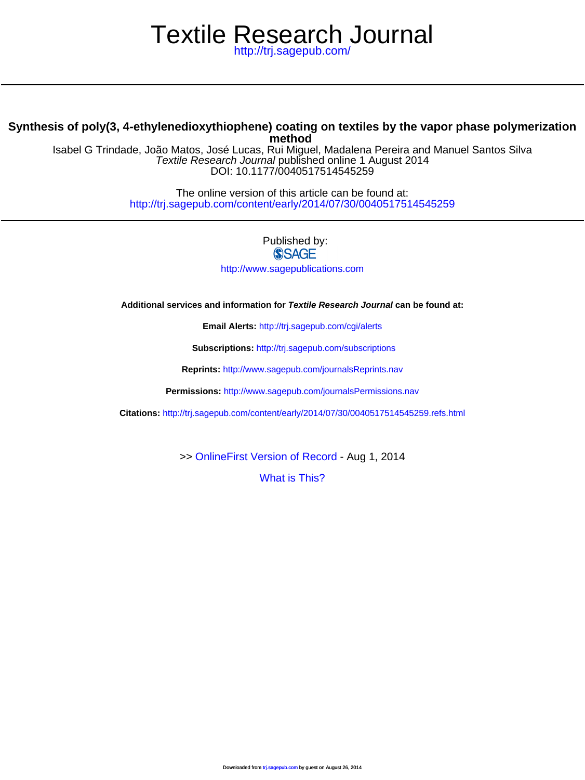# Textile Research Journal

<http://trj.sagepub.com/>

# **method Synthesis of poly(3, 4-ethylenedioxythiophene) coating on textiles by the vapor phase polymerization**

DOI: 10.1177/0040517514545259 Textile Research Journal published online 1 August 2014 Isabel G Trindade, João Matos, José Lucas, Rui Miguel, Madalena Pereira and Manuel Santos Silva

> <http://trj.sagepub.com/content/early/2014/07/30/0040517514545259> The online version of this article can be found at:

> > Published by:<br>
> > SAGE <http://www.sagepublications.com>

**Additional services and information for Textile Research Journal can be found at:**

**Email Alerts:** <http://trj.sagepub.com/cgi/alerts>

**Subscriptions:** <http://trj.sagepub.com/subscriptions>

**Reprints:** <http://www.sagepub.com/journalsReprints.nav>

**Permissions:** <http://www.sagepub.com/journalsPermissions.nav>

**Citations:** <http://trj.sagepub.com/content/early/2014/07/30/0040517514545259.refs.html>

>> [OnlineFirst Version of Record -](http://trj.sagepub.com/content/early/2014/07/30/0040517514545259.full.pdf) Aug 1, 2014

[What is This?](http://online.sagepub.com/site/sphelp/vorhelp.xhtml)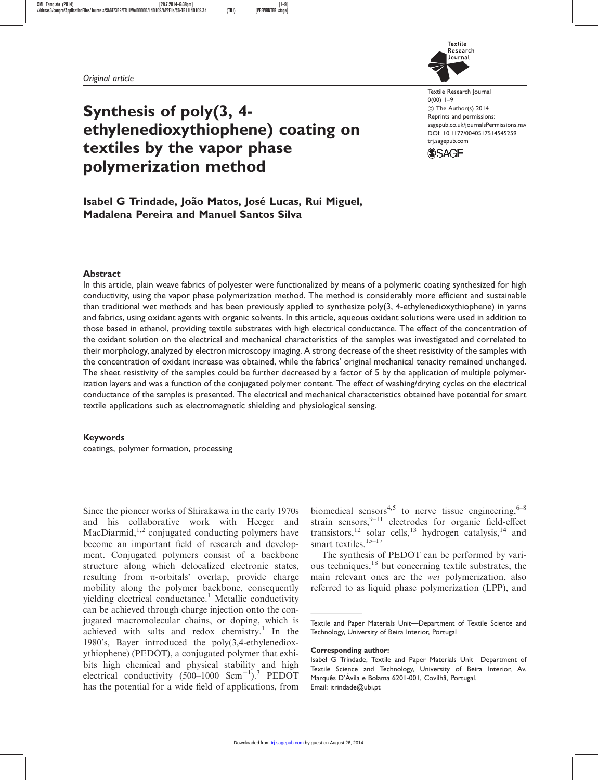

# Synthesis of poly(3, 4 ethylenedioxythiophene) coating on textiles by the vapor phase polymerization method

Textile Research Journal  $0(00)$  1-9 C The Author(s) 2014 Reprints and permissions: sagepub.co.uk/journalsPermissions.nav DOI: 10.1177/0040517514545259 trj.sagepub.com



# Isabel G Trindade, João Matos, José Lucas, Rui Miguel, Madalena Pereira and Manuel Santos Silva

#### Abstract

In this article, plain weave fabrics of polyester were functionalized by means of a polymeric coating synthesized for high conductivity, using the vapor phase polymerization method. The method is considerably more efficient and sustainable than traditional wet methods and has been previously applied to synthesize poly(3, 4-ethylenedioxythiophene) in yarns and fabrics, using oxidant agents with organic solvents. In this article, aqueous oxidant solutions were used in addition to those based in ethanol, providing textile substrates with high electrical conductance. The effect of the concentration of the oxidant solution on the electrical and mechanical characteristics of the samples was investigated and correlated to their morphology, analyzed by electron microscopy imaging. A strong decrease of the sheet resistivity of the samples with the concentration of oxidant increase was obtained, while the fabrics' original mechanical tenacity remained unchanged. The sheet resistivity of the samples could be further decreased by a factor of 5 by the application of multiple polymerization layers and was a function of the conjugated polymer content. The effect of washing/drying cycles on the electrical conductance of the samples is presented. The electrical and mechanical characteristics obtained have potential for smart textile applications such as electromagnetic shielding and physiological sensing.

#### Keywords

coatings, polymer formation, processing

Since the pioneer works of Shirakawa in the early 1970s and his collaborative work with Heeger and MacDiarmid, $1,2$  conjugated conducting polymers have become an important field of research and development. Conjugated polymers consist of a backbone structure along which delocalized electronic states, resulting from  $\pi$ -orbitals' overlap, provide charge mobility along the polymer backbone, consequently yielding electrical conductance.<sup>1</sup> Metallic conductivity can be achieved through charge injection onto the conjugated macromolecular chains, or doping, which is achieved with salts and redox chemistry.<sup>1</sup> In the 1980's, Bayer introduced the poly(3,4-ethylenedioxythiophene) (PEDOT), a conjugated polymer that exhibits high chemical and physical stability and high electrical conductivity  $(500-1000 \text{ Scm}^{-1})$ .<sup>3</sup> PEDOT has the potential for a wide field of applications, from biomedical sensors<sup>4,5</sup> to nerve tissue engineering,  $6-8$ strain sensors, $9-11$  electrodes for organic field-effect transistors,<sup>12</sup> solar cells,<sup>13</sup> hydrogen catalysis,<sup>14</sup> and smart textiles.<sup>15–17</sup>

The synthesis of PEDOT can be performed by various techniques,<sup>18</sup> but concerning textile substrates, the main relevant ones are the wet polymerization, also referred to as liquid phase polymerization (LPP), and

Textile and Paper Materials Unit—Department of Textile Science and Technology, University of Beira Interior, Portugal

#### Corresponding author:

Isabel G Trindade, Textile and Paper Materials Unit—Department of Textile Science and Technology, University of Beira Interior, Av. Marquês D'Ávila e Bolama 6201-001, Covilhã, Portugal. Email: itrindade@ubi.pt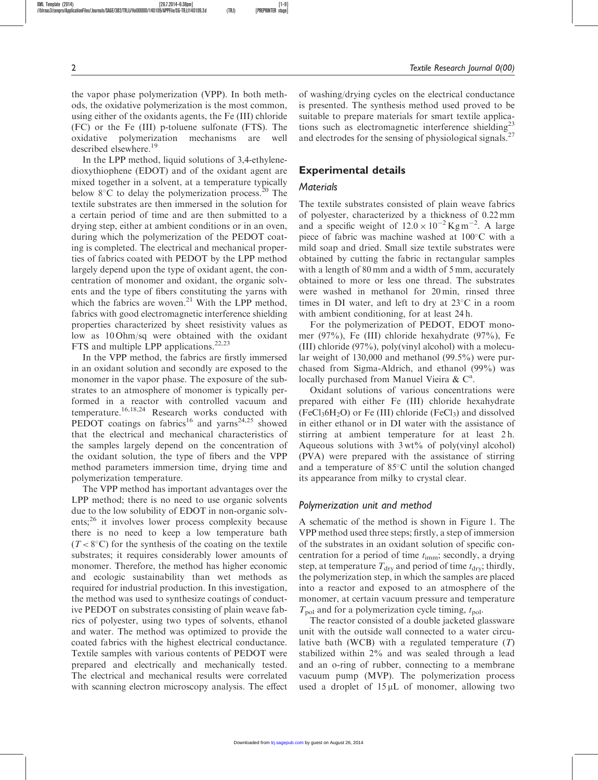the vapor phase polymerization (VPP). In both methods, the oxidative polymerization is the most common, using either of the oxidants agents, the Fe (III) chloride (FC) or the Fe (III) p-toluene sulfonate (FTS). The oxidative polymerization mechanisms are well described elsewhere.<sup>19</sup>

In the LPP method, liquid solutions of 3,4-ethylenedioxythiophene (EDOT) and of the oxidant agent are mixed together in a solvent, at a temperature typically below  $8^{\circ}$ C to delay the polymerization process.<sup>20</sup> The textile substrates are then immersed in the solution for a certain period of time and are then submitted to a drying step, either at ambient conditions or in an oven, during which the polymerization of the PEDOT coating is completed. The electrical and mechanical properties of fabrics coated with PEDOT by the LPP method largely depend upon the type of oxidant agent, the concentration of monomer and oxidant, the organic solvents and the type of fibers constituting the yarns with which the fabrics are woven.<sup>21</sup> With the LPP method, fabrics with good electromagnetic interference shielding properties characterized by sheet resistivity values as low as 10 Ohm/sq were obtained with the oxidant FTS and multiple LPP applications.<sup>22,23</sup>

In the VPP method, the fabrics are firstly immersed in an oxidant solution and secondly are exposed to the monomer in the vapor phase. The exposure of the substrates to an atmosphere of monomer is typically performed in a reactor with controlled vacuum and temperature.16,18,24 Research works conducted with PEDOT coatings on fabrics<sup>16</sup> and yarns<sup>24,25</sup> showed that the electrical and mechanical characteristics of the samples largely depend on the concentration of the oxidant solution, the type of fibers and the VPP method parameters immersion time, drying time and polymerization temperature.

The VPP method has important advantages over the LPP method; there is no need to use organic solvents due to the low solubility of EDOT in non-organic solvents;<sup>26</sup> it involves lower process complexity because there is no need to keep a low temperature bath  $(T < 8^{\circ}C)$  for the synthesis of the coating on the textile substrates; it requires considerably lower amounts of monomer. Therefore, the method has higher economic and ecologic sustainability than wet methods as required for industrial production. In this investigation, the method was used to synthesize coatings of conductive PEDOT on substrates consisting of plain weave fabrics of polyester, using two types of solvents, ethanol and water. The method was optimized to provide the coated fabrics with the highest electrical conductance. Textile samples with various contents of PEDOT were prepared and electrically and mechanically tested. The electrical and mechanical results were correlated with scanning electron microscopy analysis. The effect of washing/drying cycles on the electrical conductance is presented. The synthesis method used proved to be suitable to prepare materials for smart textile applications such as electromagnetic interference shielding<sup>23</sup> and electrodes for the sensing of physiological signals.<sup>27</sup>

#### Experimental details

#### **Materials**

The textile substrates consisted of plain weave fabrics of polyester, characterized by a thickness of 0.22 mm and a specific weight of  $12.0 \times 10^{-2}$  Kg m<sup>-2</sup>. A large piece of fabric was machine washed at  $100^{\circ}$ C with a mild soap and dried. Small size textile substrates were obtained by cutting the fabric in rectangular samples with a length of 80 mm and a width of 5 mm, accurately obtained to more or less one thread. The substrates were washed in methanol for 20 min, rinsed three times in DI water, and left to dry at  $23^{\circ}$ C in a room with ambient conditioning, for at least 24 h.

For the polymerization of PEDOT, EDOT monomer (97%), Fe (III) chloride hexahydrate (97%), Fe (III) chloride (97%), poly(vinyl alcohol) with a molecular weight of 130,000 and methanol (99.5%) were purchased from Sigma-Aldrich, and ethanol (99%) was locally purchased from Manuel Vieira & C<sup>a</sup>.

Oxidant solutions of various concentrations were prepared with either Fe (III) chloride hexahydrate  $(FeCl<sub>3</sub>6H<sub>2</sub>O)$  or Fe (III) chloride  $(FeCl<sub>3</sub>)$  and dissolved in either ethanol or in DI water with the assistance of stirring at ambient temperature for at least 2h. Aqueous solutions with  $3wt\%$  of poly(vinyl alcohol) (PVA) were prepared with the assistance of stirring and a temperature of  $85^{\circ}$ C until the solution changed its appearance from milky to crystal clear.

#### Polymerization unit and method

A schematic of the method is shown in Figure 1. The VPP method used three steps; firstly, a step of immersion of the substrates in an oxidant solution of specific concentration for a period of time  $t_{\text{imm}}$ ; secondly, a drying step, at temperature  $T_{\text{dry}}$  and period of time  $t_{\text{dry}}$ ; thirdly, the polymerization step, in which the samples are placed into a reactor and exposed to an atmosphere of the monomer, at certain vacuum pressure and temperature  $T_{pol}$  and for a polymerization cycle timing,  $t_{pol}$ .

The reactor consisted of a double jacketed glassware unit with the outside wall connected to a water circulative bath (WCB) with a regulated temperature  $(T)$ stabilized within 2% and was sealed through a lead and an o-ring of rubber, connecting to a membrane vacuum pump (MVP). The polymerization process used a droplet of  $15 \mu L$  of monomer, allowing two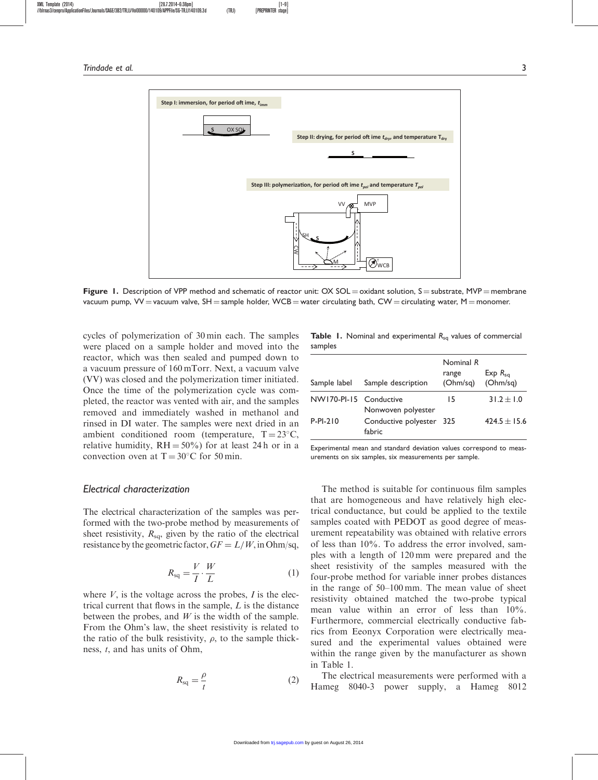

Figure 1. Description of VPP method and schematic of reactor unit:  $OX SOL = oxidant$  solution,  $S =$  substrate, MVP = membrane vacuum pump, VV = vacuum valve, SH = sample holder, WCB = water circulating bath, CW = circulating water, M = monomer.

cycles of polymerization of 30 min each. The samples were placed on a sample holder and moved into the reactor, which was then sealed and pumped down to a vacuum pressure of 160 mTorr. Next, a vacuum valve (VV) was closed and the polymerization timer initiated. Once the time of the polymerization cycle was completed, the reactor was vented with air, and the samples removed and immediately washed in methanol and rinsed in DI water. The samples were next dried in an ambient conditioned room (temperature,  $T = 23^{\circ}C$ , relative humidity,  $RH = 50\%$  for at least 24 h or in a convection oven at  $T = 30^{\circ}$ C for 50 min.

#### Electrical characterization

The electrical characterization of the samples was performed with the two-probe method by measurements of sheet resistivity,  $R_{sq}$ , given by the ratio of the electrical resistance by the geometric factor,  $GF = L/W$ , in Ohm/sq,

$$
R_{\text{sq}} = \frac{V}{I} \cdot \frac{W}{L} \tag{1}
$$

where  $V$ , is the voltage across the probes,  $I$  is the electrical current that flows in the sample, L is the distance between the probes, and  $W$  is the width of the sample. From the Ohm's law, the sheet resistivity is related to the ratio of the bulk resistivity,  $\rho$ , to the sample thickness, t, and has units of Ohm,

$$
R_{\rm sq} = \frac{\rho}{t} \tag{2}
$$

|         |  | <b>Table 1.</b> Nominal and experimental $R_{sa}$ values of commercial |  |  |
|---------|--|------------------------------------------------------------------------|--|--|
| samples |  |                                                                        |  |  |

| Sample label           | Sample description                 | Nominal R<br>range<br>(Ohm/sq) | $Exp R_{sa}$<br>(Ohm/sq) |
|------------------------|------------------------------------|--------------------------------|--------------------------|
| NW170-PI-15 Conductive | Nonwoven polyester                 | 15                             | $31.2 \pm 1.0$           |
| $P-PI-210$             | Conductive polyester 325<br>fabric |                                | $424.5 \pm 15.6$         |

Experimental mean and standard deviation values correspond to measurements on six samples, six measurements per sample.

The method is suitable for continuous film samples that are homogeneous and have relatively high electrical conductance, but could be applied to the textile samples coated with PEDOT as good degree of measurement repeatability was obtained with relative errors of less than 10%. To address the error involved, samples with a length of 120 mm were prepared and the sheet resistivity of the samples measured with the four-probe method for variable inner probes distances in the range of 50–100 mm. The mean value of sheet resistivity obtained matched the two-probe typical mean value within an error of less than 10%. Furthermore, commercial electrically conductive fabrics from Eeonyx Corporation were electrically measured and the experimental values obtained were within the range given by the manufacturer as shown in Table 1.

The electrical measurements were performed with a Hameg 8040-3 power supply, a Hameg 8012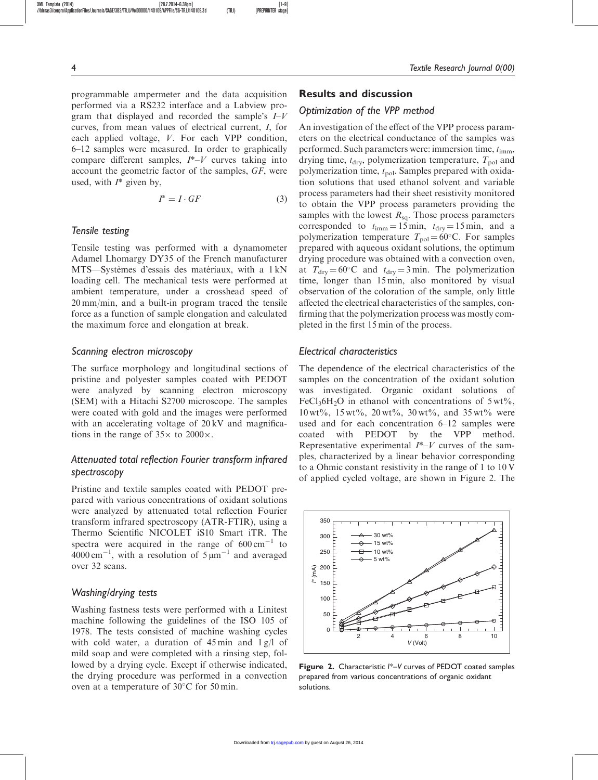programmable ampermeter and the data acquisition performed via a RS232 interface and a Labview program that displayed and recorded the sample's  $I-V$ curves, from mean values of electrical current, I, for each applied voltage, V. For each VPP condition, 6–12 samples were measured. In order to graphically compare different samples,  $I^*-V$  curves taking into account the geometric factor of the samples, GF, were used, with  $I^*$  given by,

$$
I^* = I \cdot GF \tag{3}
$$

#### Tensile testing

Tensile testing was performed with a dynamometer Adamel Lhomargy DY35 of the French manufacturer MTS—Systèmes d'essais des matériaux, with a 1 kN loading cell. The mechanical tests were performed at ambient temperature, under a crosshead speed of 20 mm/min, and a built-in program traced the tensile force as a function of sample elongation and calculated the maximum force and elongation at break.

#### Scanning electron microscopy

The surface morphology and longitudinal sections of pristine and polyester samples coated with PEDOT were analyzed by scanning electron microscopy (SEM) with a Hitachi S2700 microscope. The samples were coated with gold and the images were performed with an accelerating voltage of 20 kV and magnifications in the range of  $35 \times$  to  $2000 \times$ .

# Attenuated total reflection Fourier transform infrared spectroscopy

Pristine and textile samples coated with PEDOT prepared with various concentrations of oxidant solutions were analyzed by attenuated total reflection Fourier transform infrared spectroscopy (ATR-FTIR), using a Thermo Scientific NICOLET iS10 Smart iTR. The spectra were acquired in the range of  $600 \text{ cm}^{-1}$  to  $4000 \text{ cm}^{-1}$ , with a resolution of  $5 \mu \text{m}^{-1}$  and averaged over 32 scans.

#### Washing/drying tests

Washing fastness tests were performed with a Linitest machine following the guidelines of the ISO 105 of 1978. The tests consisted of machine washing cycles with cold water, a duration of  $45 \text{ min}$  and  $1 \text{ g/l}$  of mild soap and were completed with a rinsing step, followed by a drying cycle. Except if otherwise indicated, the drying procedure was performed in a convection oven at a temperature of  $30^{\circ}$ C for 50 min.

#### Results and discussion

# Optimization of the VPP method

An investigation of the effect of the VPP process parameters on the electrical conductance of the samples was performed. Such parameters were: immersion time,  $t_{\text{imm}}$ , drying time,  $t_{\rm dry}$ , polymerization temperature,  $T_{\rm pol}$  and polymerization time,  $t_{pol}$ . Samples prepared with oxidation solutions that used ethanol solvent and variable process parameters had their sheet resistivity monitored to obtain the VPP process parameters providing the samples with the lowest  $R_{sq}$ . Those process parameters corresponded to  $t_{\text{imm}} = 15 \text{ min}$ ,  $t_{\text{dry}} = 15 \text{ min}$ , and a polymerization temperature  $T_{pol} = 60^{\circ}$ C. For samples prepared with aqueous oxidant solutions, the optimum drying procedure was obtained with a convection oven, at  $T_{\text{dry}} = 60^{\circ}\text{C}$  and  $t_{\text{dry}} = 3 \text{ min}$ . The polymerization time, longer than 15 min, also monitored by visual observation of the coloration of the sample, only little affected the electrical characteristics of the samples, confirming that the polymerization process was mostly completed in the first 15 min of the process.

### Electrical characteristics

The dependence of the electrical characteristics of the samples on the concentration of the oxidant solution was investigated. Organic oxidant solutions of FeCl<sub>3</sub>6H<sub>2</sub>O in ethanol with concentrations of  $5 \text{ wt\%}$ , 10 wt%, 15 wt%, 20 wt%, 30 wt%, and 35 wt% were used and for each concentration 6–12 samples were coated with PEDOT by the VPP method. Representative experimental  $I^*-V$  curves of the samples, characterized by a linear behavior corresponding to a Ohmic constant resistivity in the range of 1 to 10 V of applied cycled voltage, are shown in Figure 2. The



Figure 2. Characteristic  $I^*-V$  curves of PEDOT coated samples prepared from various concentrations of organic oxidant solutions.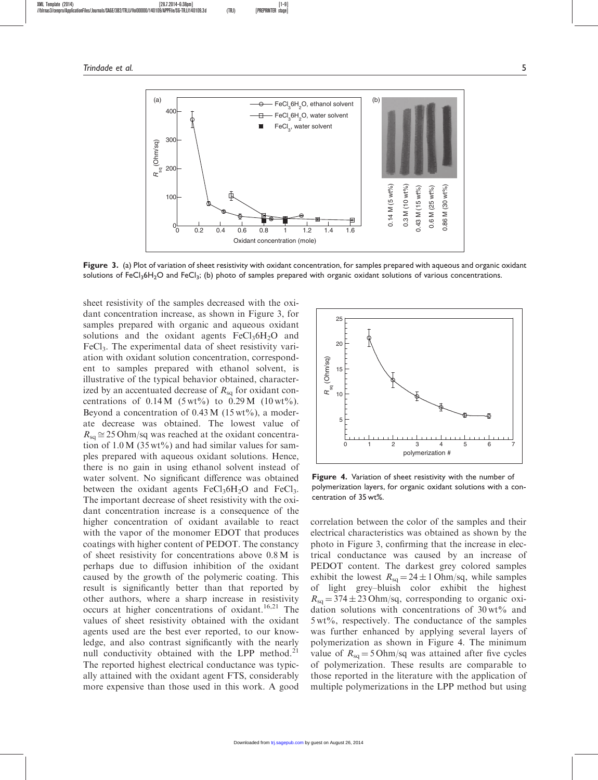

Figure 3. (a) Plot of variation of sheet resistivity with oxidant concentration, for samples prepared with aqueous and organic oxidant solutions of FeCl<sub>3</sub>6H<sub>2</sub>O and FeCl<sub>3</sub>; (b) photo of samples prepared with organic oxidant solutions of various concentrations.

sheet resistivity of the samples decreased with the oxidant concentration increase, as shown in Figure 3, for samples prepared with organic and aqueous oxidant solutions and the oxidant agents  $FeCl<sub>3</sub>6H<sub>2</sub>O$  and FeCl<sub>3</sub>. The experimental data of sheet resistivity variation with oxidant solution concentration, correspondent to samples prepared with ethanol solvent, is illustrative of the typical behavior obtained, characterized by an accentuated decrease of  $R_{\text{sq}}$  for oxidant concentrations of  $0.14 M$  (5 wt%) to  $0.29 M$  (10 wt%). Beyond a concentration of  $0.43 M$  (15 wt%), a moderate decrease was obtained. The lowest value of  $R_{\rm{sa}} \approx 25$  Ohm/sq was reached at the oxidant concentration of  $1.0 M$  (35 wt%) and had similar values for samples prepared with aqueous oxidant solutions. Hence, there is no gain in using ethanol solvent instead of water solvent. No significant difference was obtained between the oxidant agents  $FeCl<sub>3</sub>6H<sub>2</sub>O$  and  $FeCl<sub>3</sub>$ . The important decrease of sheet resistivity with the oxidant concentration increase is a consequence of the higher concentration of oxidant available to react with the vapor of the monomer EDOT that produces coatings with higher content of PEDOT. The constancy of sheet resistivity for concentrations above 0.8 M is perhaps due to diffusion inhibition of the oxidant caused by the growth of the polymeric coating. This result is significantly better than that reported by other authors, where a sharp increase in resistivity occurs at higher concentrations of oxidant.<sup>16,21</sup> The values of sheet resistivity obtained with the oxidant agents used are the best ever reported, to our knowledge, and also contrast significantly with the nearly null conductivity obtained with the LPP method. $21$ The reported highest electrical conductance was typically attained with the oxidant agent FTS, considerably more expensive than those used in this work. A good



Figure 4. Variation of sheet resistivity with the number of polymerization layers, for organic oxidant solutions with a con-

correlation between the color of the samples and their electrical characteristics was obtained as shown by the photo in Figure 3, confirming that the increase in electrical conductance was caused by an increase of PEDOT content. The darkest grey colored samples exhibit the lowest  $R_{sq} = 24 \pm 1$  Ohm/sq, while samples of light grey–bluish color exhibit the highest  $R_{\text{sq}} = 374 \pm 23$  Ohm/sq, corresponding to organic oxidation solutions with concentrations of  $30 \text{ wt\%}$  and 5 wt%, respectively. The conductance of the samples was further enhanced by applying several layers of polymerization as shown in Figure 4. The minimum value of  $R_{\rm{sa}} = 5$  Ohm/sq was attained after five cycles of polymerization. These results are comparable to those reported in the literature with the application of multiple polymerizations in the LPP method but using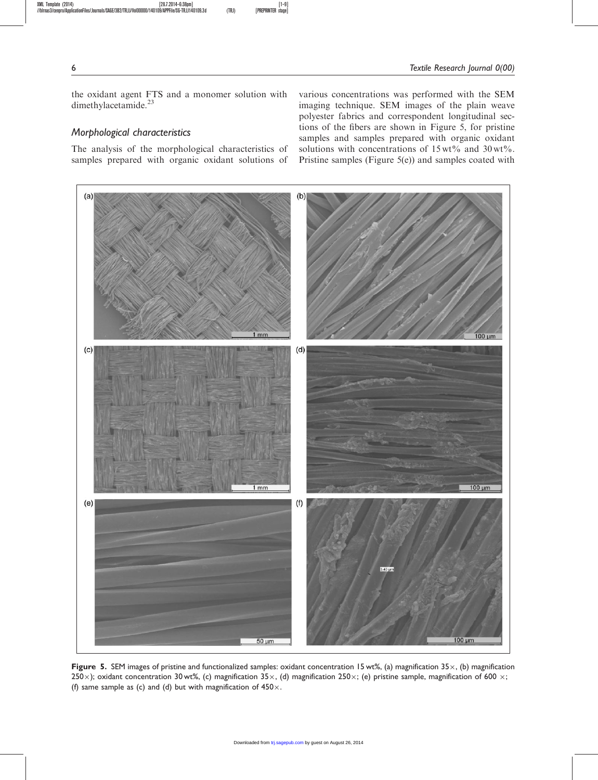the oxidant agent FTS and a monomer solution with dimethylacetamide.<sup>23</sup>

# Morphological characteristics

The analysis of the morphological characteristics of samples prepared with organic oxidant solutions of various concentrations was performed with the SEM imaging technique. SEM images of the plain weave polyester fabrics and correspondent longitudinal sections of the fibers are shown in Figure 5, for pristine samples and samples prepared with organic oxidant solutions with concentrations of  $15 \text{ wt\%}$  and  $30 \text{ wt\%}$ . Pristine samples (Figure 5(e)) and samples coated with



Figure 5. SEM images of pristine and functionalized samples: oxidant concentration 15 wt%, (a) magnification  $35\times$ , (b) magnification 250 $\times$ ); oxidant concentration 30 wt%, (c) magnification 35 $\times$ , (d) magnification 250 $\times$ ; (e) pristine sample, magnification of 600  $\times$ ; (f) same sample as (c) and (d) but with magnification of  $450 \times$ .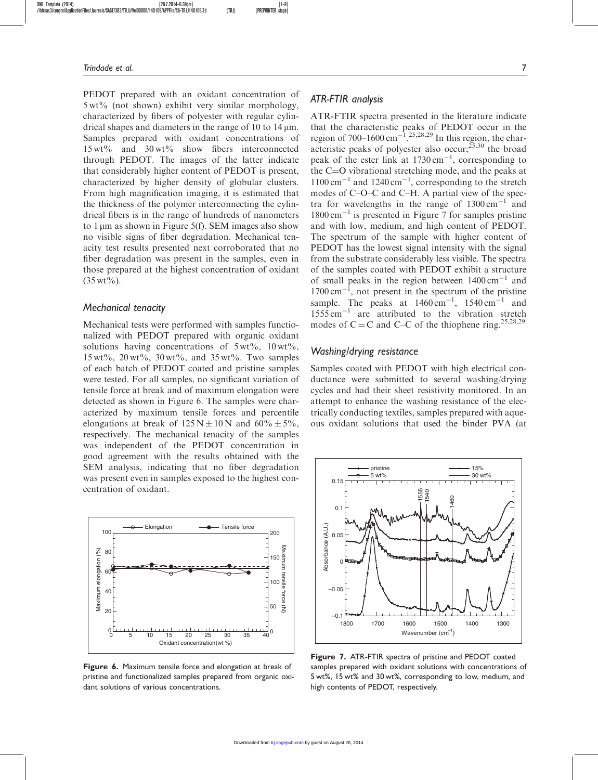PEDOT prepared with an oxidant concentration of 5 wt% (not shown) exhibit very similar morphology, characterized by fibers of polyester with regular cylindrical shapes and diameters in the range of 10 to  $14 \mu m$ . Samples prepared with oxidant concentrations of 15 wt% and 30 wt% show fibers interconnected through PEDOT. The images of the latter indicate that considerably higher content of PEDOT is present, characterized by higher density of globular clusters. From high magnification imaging, it is estimated that the thickness of the polymer interconnecting the cylindrical fibers is in the range of hundreds of nanometers to 1  $\mu$ m as shown in Figure 5(f). SEM images also show no visible signs of fiber degradation. Mechanical tenacity test results presented next corroborated that no fiber degradation was present in the samples, even in those prepared at the highest concentration of oxidant  $(35 wt\%)$ .

#### Mechanical tenacity

Mechanical tests were performed with samples functionalized with PEDOT prepared with organic oxidant solutions having concentrations of  $5 \text{ wt}\%$ ,  $10 \text{ wt}\%$ ,  $15 \,\text{wt}\%$ ,  $20 \,\text{wt}\%$ ,  $30 \,\text{wt}\%$ , and  $35 \,\text{wt}\%$ . Two samples of each batch of PEDOT coated and pristine samples were tested. For all samples, no significant variation of tensile force at break and of maximum elongation were detected as shown in Figure 6. The samples were characterized by maximum tensile forces and percentile elongations at break of  $125 N \pm 10 N$  and  $60\% \pm 5\%$ , respectively. The mechanical tenacity of the samples was independent of the PEDOT concentration in good agreement with the results obtained with the SEM analysis, indicating that no fiber degradation was present even in samples exposed to the highest concentration of oxidant.



Figure 6. Maximum tensile force and elongation at break of pristine and functionalized samples prepared from organic oxidant solutions of various concentrations.

#### ATR-FTIR analysis

ATR-FTIR spectra presented in the literature indicate that the characteristic peaks of PEDOT occur in the region of 700–1600 cm<sup>-1</sup>.<sup>25,28,29</sup> In this region, the characteristic peaks of polyester also occur;<sup>25,30</sup> the broad peak of the ester link at  $1730 \text{ cm}^{-1}$ , corresponding to the  $C=O$  vibrational stretching mode, and the peaks at  $1100 \text{ cm}^{-1}$  and  $1240 \text{ cm}^{-1}$ , corresponding to the stretch modes of C–O–C and C–H. A partial view of the spectra for wavelengths in the range of  $1300 \text{ cm}^{-1}$  and 1800 cm-<sup>1</sup> is presented in Figure 7 for samples pristine and with low, medium, and high content of PEDOT. The spectrum of the sample with higher content of PEDOT has the lowest signal intensity with the signal from the substrate considerably less visible. The spectra of the samples coated with PEDOT exhibit a structure of small peaks in the region between  $1400 \text{ cm}^{-1}$  and  $1700 \text{ cm}^{-1}$ , not present in the spectrum of the pristine sample. The peaks at  $1460 \text{ cm}^{-1}$ ,  $1540 \text{ cm}^{-1}$  and  $1555 \text{ cm}^{-1}$  are attributed to the vibration stretch modes of  $C = C$  and  $C - C$  of the thiophene ring.<sup>25,28,29</sup>

#### Washing/drying resistance

Samples coated with PEDOT with high electrical conductance were submitted to several washing/drying cycles and had their sheet resistivity monitored. In an attempt to enhance the washing resistance of the electrically conducting textiles, samples prepared with aqueous oxidant solutions that used the binder PVA (at



Figure 7. ATR-FTIR spectra of pristine and PEDOT coated samples prepared with oxidant solutions with concentrations of 5 wt%, 15 wt% and 30 wt%, corresponding to low, medium, and high contents of PEDOT, respectively.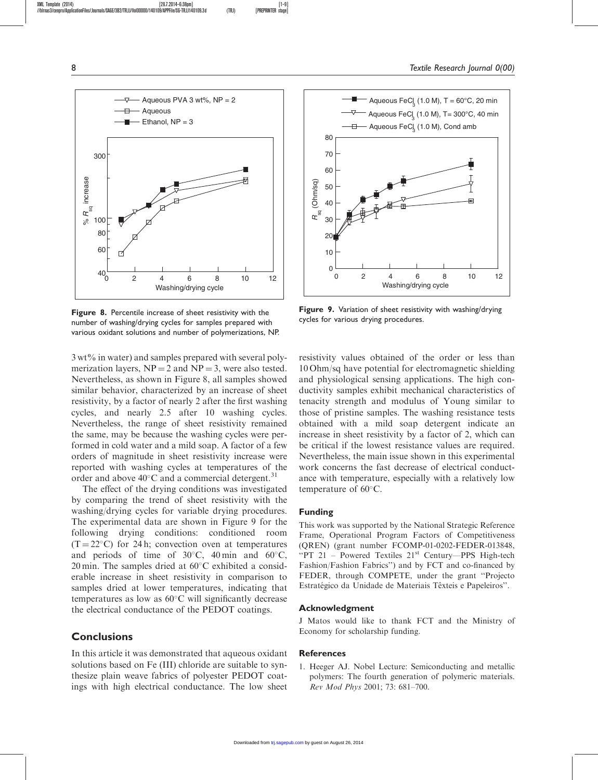

Figure 8. Percentile increase of sheet resistivity with the number of washing/drying cycles for samples prepared with various oxidant solutions and number of polymerizations, NP.

3 wt% in water) and samples prepared with several polymerization layers,  $NP = 2$  and  $NP = 3$ , were also tested. Nevertheless, as shown in Figure 8, all samples showed similar behavior, characterized by an increase of sheet resistivity, by a factor of nearly 2 after the first washing cycles, and nearly 2.5 after 10 washing cycles. Nevertheless, the range of sheet resistivity remained the same, may be because the washing cycles were performed in cold water and a mild soap. A factor of a few orders of magnitude in sheet resistivity increase were reported with washing cycles at temperatures of the order and above  $40^{\circ}$ C and a commercial detergent.<sup>31</sup>

The effect of the drying conditions was investigated by comparing the trend of sheet resistivity with the washing/drying cycles for variable drying procedures. The experimental data are shown in Figure 9 for the following drying conditions: conditioned room  $(T = 22^{\circ}C)$  for 24 h; convection oven at temperatures and periods of time of  $30^{\circ}$ C, 40 min and 60 $^{\circ}$ C, 20 min. The samples dried at  $60^{\circ}$ C exhibited a considerable increase in sheet resistivity in comparison to samples dried at lower temperatures, indicating that temperatures as low as  $60^{\circ}$ C will significantly decrease the electrical conductance of the PEDOT coatings.

# **Conclusions**

In this article it was demonstrated that aqueous oxidant solutions based on Fe (III) chloride are suitable to synthesize plain weave fabrics of polyester PEDOT coatings with high electrical conductance. The low sheet



Figure 9. Variation of sheet resistivity with washing/drying cycles for various drying procedures.

resistivity values obtained of the order or less than 10 Ohm/sq have potential for electromagnetic shielding and physiological sensing applications. The high conductivity samples exhibit mechanical characteristics of tenacity strength and modulus of Young similar to those of pristine samples. The washing resistance tests obtained with a mild soap detergent indicate an increase in sheet resistivity by a factor of 2, which can be critical if the lowest resistance values are required. Nevertheless, the main issue shown in this experimental work concerns the fast decrease of electrical conductance with temperature, especially with a relatively low temperature of  $60^{\circ}$ C.

#### Funding

This work was supported by the National Strategic Reference Frame, Operational Program Factors of Competitiveness (QREN) (grant number FCOMP-01-0202-FEDER-013848, "PT 21 – Powered Textiles 21<sup>st</sup> Century—PPS High-tech Fashion/Fashion Fabrics'') and by FCT and co-financed by FEDER, through COMPETE, under the grant ''Projecto Estratégico da Unidade de Materiais Têxteis e Papeleiros".

#### Acknowledgment

J Matos would like to thank FCT and the Ministry of Economy for scholarship funding.

#### **References**

1. Heeger AJ. Nobel Lecture: Semiconducting and metallic polymers: The fourth generation of polymeric materials. Rev Mod Phys 2001; 73: 681–700.